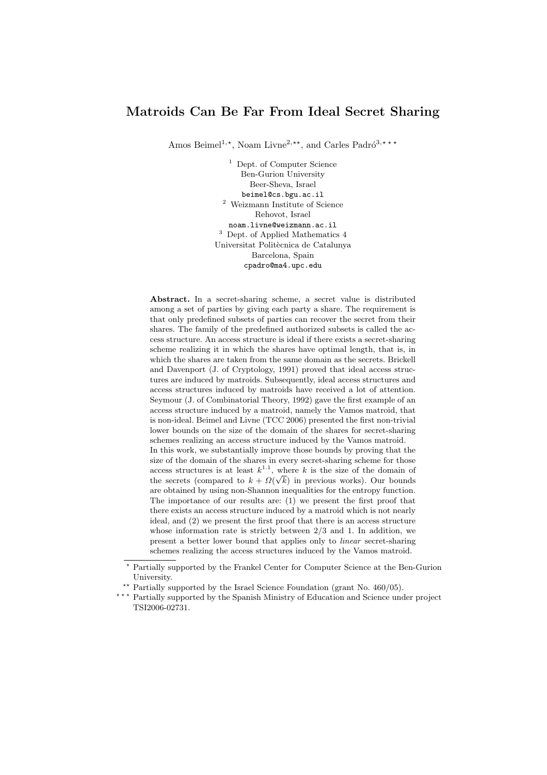# Matroids Can Be Far From Ideal Secret Sharing

Amos Beimel<sup>1,\*</sup>, Noam Livne<sup>2,\*\*</sup>, and Carles Padró<sup>3,\*\*\*</sup>

<sup>1</sup> Dept. of Computer Science Ben-Gurion University Beer-Sheva, Israel beimel@cs.bgu.ac.il <sup>2</sup> Weizmann Institute of Science Rehovot, Israel noam.livne@weizmann.ac.il <sup>3</sup> Dept. of Applied Mathematics 4 Universitat Politècnica de Catalunya Barcelona, Spain cpadro@ma4.upc.edu

Abstract. In a secret-sharing scheme, a secret value is distributed among a set of parties by giving each party a share. The requirement is that only predefined subsets of parties can recover the secret from their shares. The family of the predefined authorized subsets is called the access structure. An access structure is ideal if there exists a secret-sharing scheme realizing it in which the shares have optimal length, that is, in which the shares are taken from the same domain as the secrets. Brickell and Davenport (J. of Cryptology, 1991) proved that ideal access structures are induced by matroids. Subsequently, ideal access structures and access structures induced by matroids have received a lot of attention. Seymour (J. of Combinatorial Theory, 1992) gave the first example of an access structure induced by a matroid, namely the Vamos matroid, that is non-ideal. Beimel and Livne (TCC 2006) presented the first non-trivial lower bounds on the size of the domain of the shares for secret-sharing schemes realizing an access structure induced by the Vamos matroid. In this work, we substantially improve those bounds by proving that the size of the domain of the shares in every secret-sharing scheme for those access structures is at least  $k^{1.1}$ , where k is the size of the domain of the secrets (compared to  $k + \Omega(\sqrt{k})$  in previous works). Our bounds are obtained by using non-Shannon inequalities for the entropy function. The importance of our results are: (1) we present the first proof that there exists an access structure induced by a matroid which is not nearly ideal, and (2) we present the first proof that there is an access structure whose information rate is strictly between 2/3 and 1. In addition, we present a better lower bound that applies only to linear secret-sharing schemes realizing the access structures induced by the Vamos matroid.

<sup>?</sup> Partially supported by the Frankel Center for Computer Science at the Ben-Gurion University.

<sup>\*\*</sup> Partially supported by the Israel Science Foundation (grant No.  $460/05$ ).

<sup>\*\*\*</sup> Partially supported by the Spanish Ministry of Education and Science under project TSI2006-02731.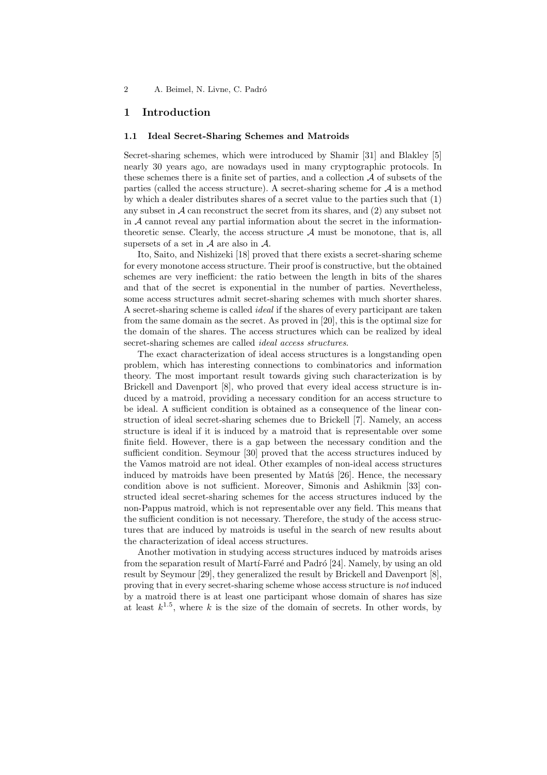## 1 Introduction

#### 1.1 Ideal Secret-Sharing Schemes and Matroids

Secret-sharing schemes, which were introduced by Shamir [31] and Blakley [5] nearly 30 years ago, are nowadays used in many cryptographic protocols. In these schemes there is a finite set of parties, and a collection  $A$  of subsets of the parties (called the access structure). A secret-sharing scheme for  $A$  is a method by which a dealer distributes shares of a secret value to the parties such that (1) any subset in  $A$  can reconstruct the secret from its shares, and  $(2)$  any subset not in  $A$  cannot reveal any partial information about the secret in the informationtheoretic sense. Clearly, the access structure  $A$  must be monotone, that is, all supersets of a set in  $A$  are also in  $A$ .

Ito, Saito, and Nishizeki [18] proved that there exists a secret-sharing scheme for every monotone access structure. Their proof is constructive, but the obtained schemes are very inefficient: the ratio between the length in bits of the shares and that of the secret is exponential in the number of parties. Nevertheless, some access structures admit secret-sharing schemes with much shorter shares. A secret-sharing scheme is called ideal if the shares of every participant are taken from the same domain as the secret. As proved in [20], this is the optimal size for the domain of the shares. The access structures which can be realized by ideal secret-sharing schemes are called *ideal access structures*.

The exact characterization of ideal access structures is a longstanding open problem, which has interesting connections to combinatorics and information theory. The most important result towards giving such characterization is by Brickell and Davenport [8], who proved that every ideal access structure is induced by a matroid, providing a necessary condition for an access structure to be ideal. A sufficient condition is obtained as a consequence of the linear construction of ideal secret-sharing schemes due to Brickell [7]. Namely, an access structure is ideal if it is induced by a matroid that is representable over some finite field. However, there is a gap between the necessary condition and the sufficient condition. Seymour [30] proved that the access structures induced by the Vamos matroid are not ideal. Other examples of non-ideal access structures induced by matroids have been presented by Matúš  $[26]$ . Hence, the necessary condition above is not sufficient. Moreover, Simonis and Ashikmin [33] constructed ideal secret-sharing schemes for the access structures induced by the non-Pappus matroid, which is not representable over any field. This means that the sufficient condition is not necessary. Therefore, the study of the access structures that are induced by matroids is useful in the search of new results about the characterization of ideal access structures.

Another motivation in studying access structures induced by matroids arises from the separation result of Martí-Farré and Padró [24]. Namely, by using an old result by Seymour [29], they generalized the result by Brickell and Davenport [8], proving that in every secret-sharing scheme whose access structure is not induced by a matroid there is at least one participant whose domain of shares has size at least  $k^{1.5}$ , where k is the size of the domain of secrets. In other words, by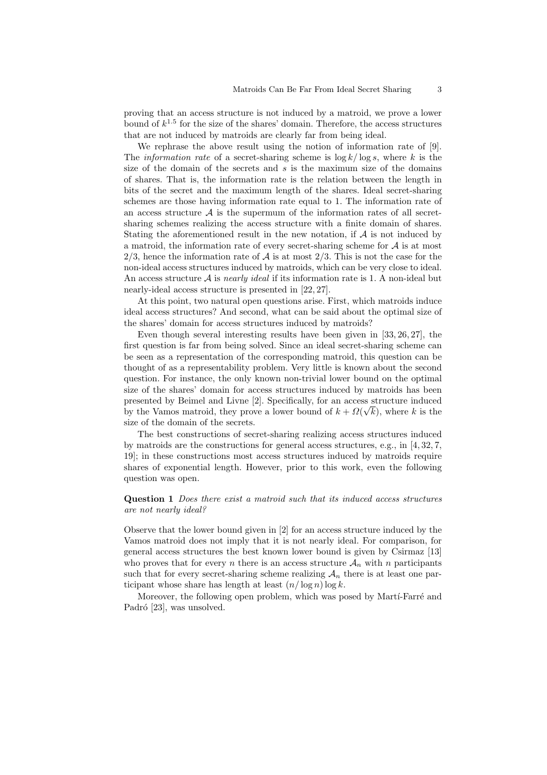proving that an access structure is not induced by a matroid, we prove a lower bound of  $k^{1.5}$  for the size of the shares' domain. Therefore, the access structures that are not induced by matroids are clearly far from being ideal.

We rephrase the above result using the notion of information rate of [9]. The *information rate* of a secret-sharing scheme is  $\log k / \log s$ , where k is the size of the domain of the secrets and  $s$  is the maximum size of the domains of shares. That is, the information rate is the relation between the length in bits of the secret and the maximum length of the shares. Ideal secret-sharing schemes are those having information rate equal to 1. The information rate of an access structure  $A$  is the supermum of the information rates of all secretsharing schemes realizing the access structure with a finite domain of shares. Stating the aforementioned result in the new notation, if  $A$  is not induced by a matroid, the information rate of every secret-sharing scheme for  $A$  is at most  $2/3$ , hence the information rate of A is at most  $2/3$ . This is not the case for the non-ideal access structures induced by matroids, which can be very close to ideal. An access structure  $A$  is *nearly ideal* if its information rate is 1. A non-ideal but nearly-ideal access structure is presented in [22, 27].

At this point, two natural open questions arise. First, which matroids induce ideal access structures? And second, what can be said about the optimal size of the shares' domain for access structures induced by matroids?

Even though several interesting results have been given in [33, 26, 27], the first question is far from being solved. Since an ideal secret-sharing scheme can be seen as a representation of the corresponding matroid, this question can be thought of as a representability problem. Very little is known about the second question. For instance, the only known non-trivial lower bound on the optimal size of the shares' domain for access structures induced by matroids has been presented by Beimel and Livne [2]. Specifically, for an access structure induced by the Vamos matroid, they prove a lower bound of  $k + \Omega(\sqrt{k})$ , where k is the size of the domain of the secrets.

The best constructions of secret-sharing realizing access structures induced by matroids are the constructions for general access structures, e.g., in  $[4, 32, 7, 7]$ 19]; in these constructions most access structures induced by matroids require shares of exponential length. However, prior to this work, even the following question was open.

## Question 1 Does there exist a matroid such that its induced access structures are not nearly ideal?

Observe that the lower bound given in [2] for an access structure induced by the Vamos matroid does not imply that it is not nearly ideal. For comparison, for general access structures the best known lower bound is given by Csirmaz [13] who proves that for every n there is an access structure  $A_n$  with n participants such that for every secret-sharing scheme realizing  $A_n$  there is at least one participant whose share has length at least  $(n/\log n) \log k$ .

Moreover, the following open problem, which was posed by Marti-Farré and Padró [23], was unsolved.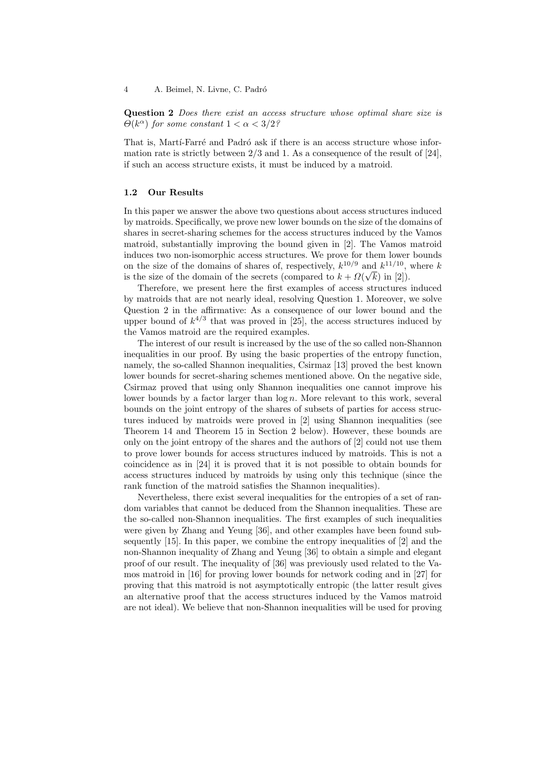Question 2 *Does there exist an access structure whose optimal share size is*  $\Theta(k^{\alpha})$  for some constant  $1 < \alpha < 3/2$ ?

That is, Martí-Farré and Padró ask if there is an access structure whose information rate is strictly between  $2/3$  and 1. As a consequence of the result of [24], if such an access structure exists, it must be induced by a matroid.

#### 1.2 Our Results

In this paper we answer the above two questions about access structures induced by matroids. Specifically, we prove new lower bounds on the size of the domains of shares in secret-sharing schemes for the access structures induced by the Vamos matroid, substantially improving the bound given in [2]. The Vamos matroid induces two non-isomorphic access structures. We prove for them lower bounds on the size of the domains of shares of, respectively,  $k^{10/9}$  and  $k^{11/10}$ , where k is the size of the domain of the secrets (compared to  $k + \Omega(\sqrt{k})$  in [2]).

Therefore, we present here the first examples of access structures induced by matroids that are not nearly ideal, resolving Question 1. Moreover, we solve Question 2 in the affirmative: As a consequence of our lower bound and the upper bound of  $k^{4/3}$  that was proved in [25], the access structures induced by the Vamos matroid are the required examples.

The interest of our result is increased by the use of the so called non-Shannon inequalities in our proof. By using the basic properties of the entropy function, namely, the so-called Shannon inequalities, Csirmaz [13] proved the best known lower bounds for secret-sharing schemes mentioned above. On the negative side, Csirmaz proved that using only Shannon inequalities one cannot improve his lower bounds by a factor larger than  $\log n$ . More relevant to this work, several bounds on the joint entropy of the shares of subsets of parties for access structures induced by matroids were proved in [2] using Shannon inequalities (see Theorem 14 and Theorem 15 in Section 2 below). However, these bounds are only on the joint entropy of the shares and the authors of [2] could not use them to prove lower bounds for access structures induced by matroids. This is not a coincidence as in [24] it is proved that it is not possible to obtain bounds for access structures induced by matroids by using only this technique (since the rank function of the matroid satisfies the Shannon inequalities).

Nevertheless, there exist several inequalities for the entropies of a set of random variables that cannot be deduced from the Shannon inequalities. These are the so-called non-Shannon inequalities. The first examples of such inequalities were given by Zhang and Yeung [36], and other examples have been found subsequently [15]. In this paper, we combine the entropy inequalities of [2] and the non-Shannon inequality of Zhang and Yeung [36] to obtain a simple and elegant proof of our result. The inequality of [36] was previously used related to the Vamos matroid in [16] for proving lower bounds for network coding and in [27] for proving that this matroid is not asymptotically entropic (the latter result gives an alternative proof that the access structures induced by the Vamos matroid are not ideal). We believe that non-Shannon inequalities will be used for proving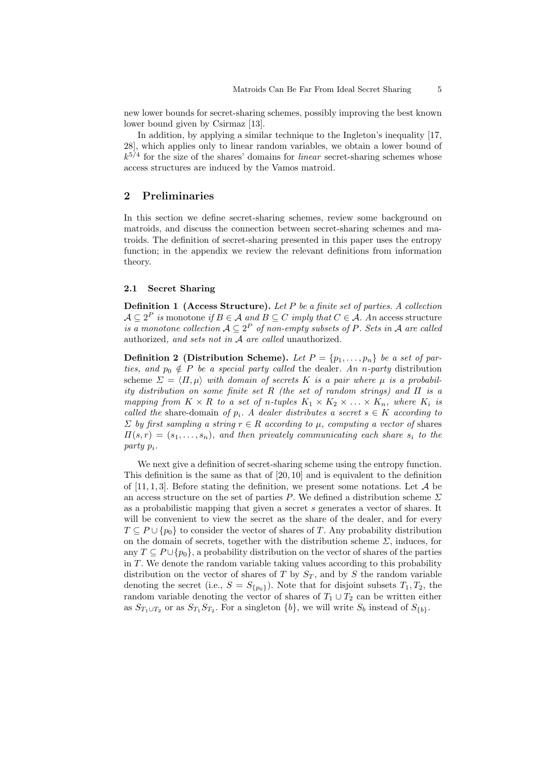new lower bounds for secret-sharing schemes, possibly improving the best known lower bound given by Csirmaz [13].

In addition, by applying a similar technique to the Ingleton's inequality [17, 28], which applies only to linear random variables, we obtain a lower bound of  $k^{5/4}$  for the size of the shares' domains for *linear* secret-sharing schemes whose access structures are induced by the Vamos matroid.

# 2 Preliminaries

In this section we define secret-sharing schemes, review some background on matroids, and discuss the connection between secret-sharing schemes and matroids. The definition of secret-sharing presented in this paper uses the entropy function; in the appendix we review the relevant definitions from information theory.

#### 2.1 Secret Sharing

**Definition 1 (Access Structure).** Let  $P$  be a finite set of parties. A collection  $\mathcal{A} \subseteq 2^P$  is monotone if  $B \in \mathcal{A}$  and  $B \subseteq C$  imply that  $C \in \mathcal{A}$ . An access structure is a monotone collection  $A \subseteq 2^P$  of non-empty subsets of P. Sets in A are called authorized, and sets not in A are called unauthorized.

**Definition 2** (Distribution Scheme). Let  $P = \{p_1, \ldots, p_n\}$  be a set of parties, and  $p_0 \notin P$  be a special party called the dealer. An n-party distribution scheme  $\Sigma = \langle \Pi, \mu \rangle$  with domain of secrets K is a pair where  $\mu$  is a probability distribution on some finite set R (the set of random strings) and  $\Pi$  is a mapping from  $K \times R$  to a set of n-tuples  $K_1 \times K_2 \times \ldots \times K_n$ , where  $K_i$  is called the share-domain of  $p_i$ . A dealer distributes a secret  $s \in K$  according to  $\Sigma$  by first sampling a string  $r \in R$  according to  $\mu$ , computing a vector of shares  $\Pi(s,r) = (s_1,\ldots,s_n)$ , and then privately communicating each share  $s_i$  to the party pi.

We next give a definition of secret-sharing scheme using the entropy function. This definition is the same as that of [20, 10] and is equivalent to the definition of [11, 1, 3]. Before stating the definition, we present some notations. Let  $A$  be an access structure on the set of parties P. We defined a distribution scheme  $\Sigma$ as a probabilistic mapping that given a secret s generates a vector of shares. It will be convenient to view the secret as the share of the dealer, and for every  $T \subseteq P \cup \{p_0\}$  to consider the vector of shares of T. Any probability distribution on the domain of secrets, together with the distribution scheme  $\Sigma$ , induces, for any  $T \subseteq P \cup \{p_0\}$ , a probability distribution on the vector of shares of the parties in T. We denote the random variable taking values according to this probability distribution on the vector of shares of T by  $S_T$ , and by S the random variable denoting the secret (i.e.,  $S = S_{p_0}$ ). Note that for disjoint subsets  $T_1, T_2$ , the random variable denoting the vector of shares of  $T_1 \cup T_2$  can be written either as  $S_{T_1 \cup T_2}$  or as  $S_{T_1} S_{T_2}$ . For a singleton  $\{b\}$ , we will write  $S_b$  instead of  $S_{\{b\}}$ .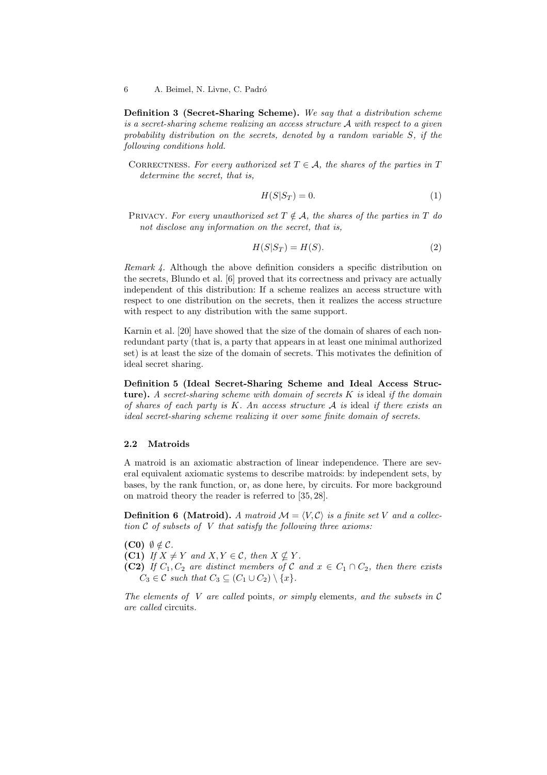Definition 3 (Secret-Sharing Scheme). We say that a distribution scheme is a secret-sharing scheme realizing an access structure A with respect to a given probability distribution on the secrets, denoted by a random variable S, if the following conditions hold.

CORRECTNESS. For every authorized set  $T \in \mathcal{A}$ , the shares of the parties in T determine the secret, that is,

$$
H(S|S_T) = 0.\t\t(1)
$$

PRIVACY. For every unauthorized set  $T \notin \mathcal{A}$ , the shares of the parties in T do not disclose any information on the secret, that is,

$$
H(S|S_T) = H(S). \tag{2}
$$

Remark 4. Although the above definition considers a specific distribution on the secrets, Blundo et al. [6] proved that its correctness and privacy are actually independent of this distribution: If a scheme realizes an access structure with respect to one distribution on the secrets, then it realizes the access structure with respect to any distribution with the same support.

Karnin et al. [20] have showed that the size of the domain of shares of each nonredundant party (that is, a party that appears in at least one minimal authorized set) is at least the size of the domain of secrets. This motivates the definition of ideal secret sharing.

Definition 5 (Ideal Secret-Sharing Scheme and Ideal Access Structure). A secret-sharing scheme with domain of secrets  $K$  is ideal if the domain of shares of each party is  $K$ . An access structure  $A$  is ideal if there exists an ideal secret-sharing scheme realizing it over some finite domain of secrets.

#### 2.2 Matroids

A matroid is an axiomatic abstraction of linear independence. There are several equivalent axiomatic systems to describe matroids: by independent sets, by bases, by the rank function, or, as done here, by circuits. For more background on matroid theory the reader is referred to [35, 28].

**Definition 6 (Matroid).** A matroid  $\mathcal{M} = \langle V, \mathcal{C} \rangle$  is a finite set V and a collection  $C$  of subsets of V that satisfy the following three axioms:

(C0)  $\emptyset \notin \mathcal{C}$ .

(C1) If  $X \neq Y$  and  $X, Y \in \mathcal{C}$ , then  $X \nsubseteq Y$ .

(C2) If  $C_1, C_2$  are distinct members of C and  $x \in C_1 \cap C_2$ , then there exists  $C_3 \in \mathcal{C}$  such that  $C_3 \subseteq (C_1 \cup C_2) \setminus \{x\}.$ 

The elements of V are called points, or simply elements, and the subsets in  $\mathcal C$ are called circuits.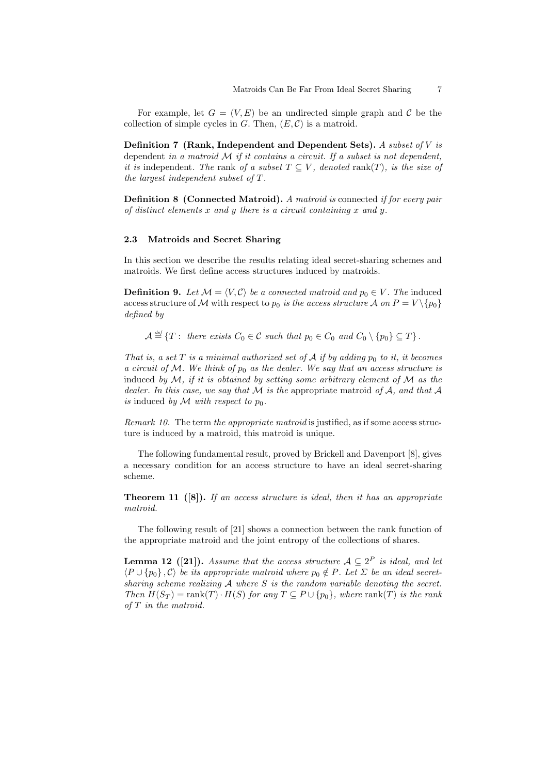For example, let  $G = (V, E)$  be an undirected simple graph and C be the collection of simple cycles in  $G$ . Then,  $(E, \mathcal{C})$  is a matroid.

Definition 7 (Rank, Independent and Dependent Sets). A subset of  $V$  is dependent in a matroid  $M$  if it contains a circuit. If a subset is not dependent, it is independent. The rank of a subset  $T \subseteq V$ , denoted rank $(T)$ , is the size of the largest independent subset of T.

Definition 8 (Connected Matroid). A matroid is connected if for every pair of distinct elements  $x$  and  $y$  there is a circuit containing  $x$  and  $y$ .

#### 2.3 Matroids and Secret Sharing

In this section we describe the results relating ideal secret-sharing schemes and matroids. We first define access structures induced by matroids.

**Definition 9.** Let  $\mathcal{M} = \langle V, \mathcal{C} \rangle$  be a connected matroid and  $p_0 \in V$ . The induced access structure of M with respect to  $p_0$  is the access structure A on  $P = V \setminus \{p_0\}$ defined by

 $\mathcal{A} \stackrel{\text{\tiny def}}{=} \{T: \text{ there exists } C_0 \in \mathcal{C} \text{ such that } p_0 \in C_0 \text{ and } C_0 \setminus \{p_0\} \subseteq T\}.$ 

That is, a set T is a minimal authorized set of A if by adding  $p_0$  to it, it becomes a circuit of M. We think of  $p_0$  as the dealer. We say that an access structure is induced by  $\mathcal M$ , if it is obtained by setting some arbitrary element of  $\mathcal M$  as the dealer. In this case, we say that  $M$  is the appropriate matroid of  $A$ , and that  $A$ is induced by M with respect to  $p_0$ .

Remark 10. The term the appropriate matroid is justified, as if some access structure is induced by a matroid, this matroid is unique.

The following fundamental result, proved by Brickell and Davenport [8], gives a necessary condition for an access structure to have an ideal secret-sharing scheme.

**Theorem 11** ([8]). If an access structure is ideal, then it has an appropriate matroid.

The following result of [21] shows a connection between the rank function of the appropriate matroid and the joint entropy of the collections of shares.

**Lemma 12** ([21]). Assume that the access structure  $A \subseteq 2^P$  is ideal, and let  $\langle P \cup \{p_0\}, C \rangle$  be its appropriate matroid where  $p_0 \notin P$ . Let  $\Sigma$  be an ideal secretsharing scheme realizing  $A$  where  $S$  is the random variable denoting the secret. Then  $H(S_T) = \text{rank}(T) \cdot H(S)$  for any  $T \subseteq P \cup \{p_0\}$ , where  $\text{rank}(T)$  is the rank of T in the matroid.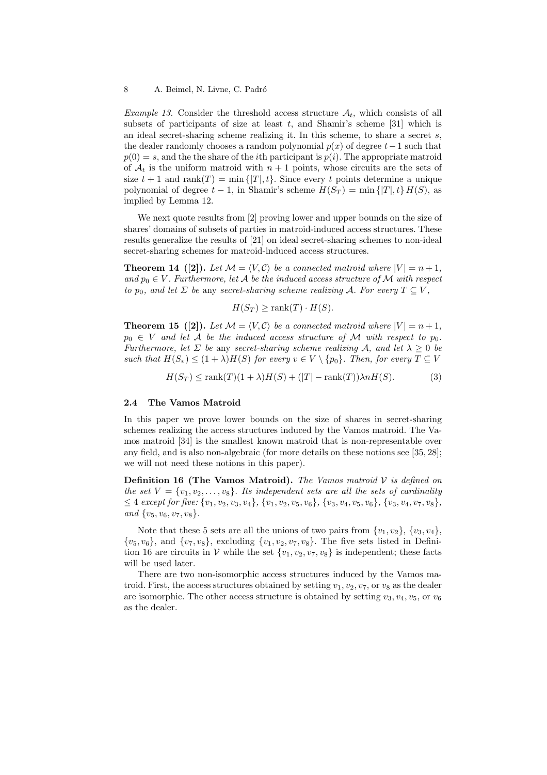*Example 13.* Consider the threshold access structure  $A_t$ , which consists of all subsets of participants of size at least  $t$ , and Shamir's scheme [31] which is an ideal secret-sharing scheme realizing it. In this scheme, to share a secret s, the dealer randomly chooses a random polynomial  $p(x)$  of degree  $t-1$  such that  $p(0) = s$ , and the the share of the *i*th participant is  $p(i)$ . The appropriate matroid of  $A_t$  is the uniform matroid with  $n+1$  points, whose circuits are the sets of size  $t + 1$  and rank $(T) = \min\{|T|, t\}$ . Since every t points determine a unique polynomial of degree  $t - 1$ , in Shamir's scheme  $H(S_T) = \min\{|T|, t\} H(S)$ , as implied by Lemma 12.

We next quote results from [2] proving lower and upper bounds on the size of shares' domains of subsets of parties in matroid-induced access structures. These results generalize the results of [21] on ideal secret-sharing schemes to non-ideal secret-sharing schemes for matroid-induced access structures.

**Theorem 14** ([2]). Let  $\mathcal{M} = \langle V, \mathcal{C} \rangle$  be a connected matroid where  $|V| = n + 1$ , and  $p_0 \in V$ . Furthermore, let A be the induced access structure of M with respect to  $p_0$ , and let  $\Sigma$  be any secret-sharing scheme realizing A. For every  $T \subseteq V$ ,

 $H(S_T)$  > rank $(T)$  ·  $H(S)$ .

**Theorem 15** ([2]). Let  $\mathcal{M} = \langle V, \mathcal{C} \rangle$  be a connected matroid where  $|V| = n + 1$ ,  $p_0 \in V$  and let A be the induced access structure of M with respect to  $p_0$ . Furthermore, let  $\Sigma$  be any secret-sharing scheme realizing A, and let  $\lambda > 0$  be such that  $H(S_v) \leq (1 + \lambda)H(S)$  for every  $v \in V \setminus \{p_0\}$ . Then, for every  $T \subseteq V$ 

$$
H(S_T) \le \text{rank}(T)(1+\lambda)H(S) + (|T| - \text{rank}(T))\lambda nH(S). \tag{3}
$$

## 2.4 The Vamos Matroid

In this paper we prove lower bounds on the size of shares in secret-sharing schemes realizing the access structures induced by the Vamos matroid. The Vamos matroid [34] is the smallest known matroid that is non-representable over any field, and is also non-algebraic (for more details on these notions see [35, 28]; we will not need these notions in this paper).

**Definition 16 (The Vamos Matroid).** The Vamos matroid  $\mathcal V$  is defined on the set  $V = \{v_1, v_2, \ldots, v_8\}$ . Its independent sets are all the sets of cardinality  $\leq 4$  except for five:  $\{v_1, v_2, v_3, v_4\}, \{v_1, v_2, v_5, v_6\}, \{v_3, v_4, v_5, v_6\}, \{v_3, v_4, v_7, v_8\},\$ and  $\{v_5, v_6, v_7, v_8\}.$ 

Note that these 5 sets are all the unions of two pairs from  $\{v_1, v_2\}$ ,  $\{v_3, v_4\}$ ,  $\{v_5, v_6\}$ , and  $\{v_7, v_8\}$ , excluding  $\{v_1, v_2, v_7, v_8\}$ . The five sets listed in Definition 16 are circuits in V while the set  $\{v_1, v_2, v_7, v_8\}$  is independent; these facts will be used later.

There are two non-isomorphic access structures induced by the Vamos matroid. First, the access structures obtained by setting  $v_1, v_2, v_7$ , or  $v_8$  as the dealer are isomorphic. The other access structure is obtained by setting  $v_3, v_4, v_5$ , or  $v_6$ as the dealer.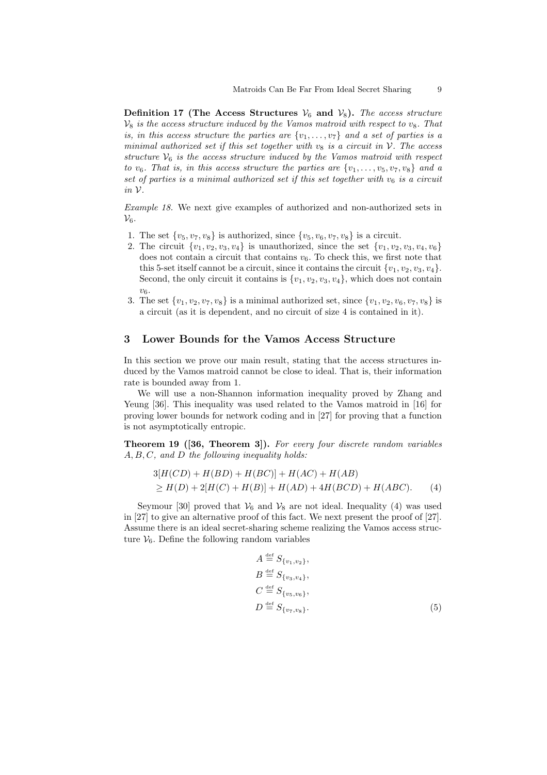Definition 17 (The Access Structures  $V_6$  and  $V_8$ ). The access structure  $V_8$  is the access structure induced by the Vamos matroid with respect to  $v_8$ . That is, in this access structure the parties are  $\{v_1, \ldots, v_7\}$  and a set of parties is a minimal authorized set if this set together with  $v_8$  is a circuit in V. The access structure  $V_6$  is the access structure induced by the Vamos matroid with respect to  $v_6$ . That is, in this access structure the parties are  $\{v_1, \ldots, v_5, v_7, v_8\}$  and a set of parties is a minimal authorized set if this set together with  $v_6$  is a circuit in V.

Example 18. We next give examples of authorized and non-authorized sets in  $\mathcal{V}_6$ .

- 1. The set  $\{v_5, v_7, v_8\}$  is authorized, since  $\{v_5, v_6, v_7, v_8\}$  is a circuit.
- 2. The circuit  $\{v_1, v_2, v_3, v_4\}$  is unauthorized, since the set  $\{v_1, v_2, v_3, v_4, v_6\}$ does not contain a circuit that contains  $v_6$ . To check this, we first note that this 5-set itself cannot be a circuit, since it contains the circuit  $\{v_1, v_2, v_3, v_4\}$ . Second, the only circuit it contains is  $\{v_1, v_2, v_3, v_4\}$ , which does not contain  $v<sub>6</sub>$ .
- 3. The set  $\{v_1, v_2, v_7, v_8\}$  is a minimal authorized set, since  $\{v_1, v_2, v_6, v_7, v_8\}$  is a circuit (as it is dependent, and no circuit of size 4 is contained in it).

## 3 Lower Bounds for the Vamos Access Structure

In this section we prove our main result, stating that the access structures induced by the Vamos matroid cannot be close to ideal. That is, their information rate is bounded away from 1.

We will use a non-Shannon information inequality proved by Zhang and Yeung [36]. This inequality was used related to the Vamos matroid in [16] for proving lower bounds for network coding and in [27] for proving that a function is not asymptotically entropic.

Theorem 19 ([36, Theorem 3]). For every four discrete random variables A, B, C, and D the following inequality holds:

$$
3[H(CD) + H(BD) + H(BC)] + H(AC) + H(AB)
$$
  
\n
$$
\geq H(D) + 2[H(C) + H(B)] + H(AD) + 4H(BCD) + H(ABC).
$$
 (4)

Seymour [30] proved that  $V_6$  and  $V_8$  are not ideal. Inequality (4) was used in [27] to give an alternative proof of this fact. We next present the proof of [27]. Assume there is an ideal secret-sharing scheme realizing the Vamos access structure  $V_6$ . Define the following random variables

$$
A \stackrel{\text{def}}{=} S_{\{v_1, v_2\}},
$$
  
\n
$$
B \stackrel{\text{def}}{=} S_{\{v_3, v_4\}},
$$
  
\n
$$
C \stackrel{\text{def}}{=} S_{\{v_5, v_6\}},
$$
  
\n
$$
D \stackrel{\text{def}}{=} S_{\{v_7, v_8\}}.
$$
\n(5)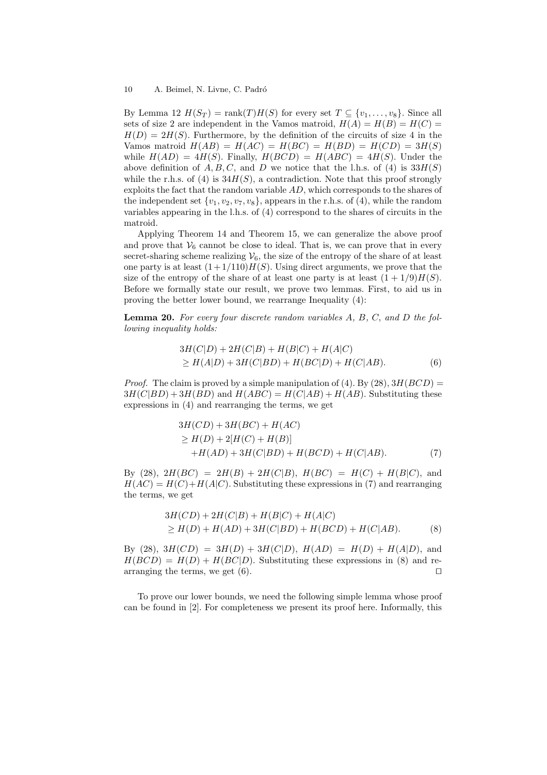By Lemma 12  $H(S_T) = \text{rank}(T)H(S)$  for every set  $T \subseteq \{v_1, \ldots, v_8\}$ . Since all sets of size 2 are independent in the Vamos matroid,  $H(A) = H(B) = H(C)$  $H(D) = 2H(S)$ . Furthermore, by the definition of the circuits of size 4 in the Vamos matroid  $H(AB) = H(AC) = H(BC) = H(BD) = H(CD) = 3H(S)$ while  $H(AD) = 4H(S)$ . Finally,  $H(BCD) = H(ABC) = 4H(S)$ . Under the above definition of A, B, C, and D we notice that the l.h.s. of (4) is  $33H(S)$ while the r.h.s. of (4) is  $34H(S)$ , a contradiction. Note that this proof strongly exploits the fact that the random variable AD, which corresponds to the shares of the independent set  $\{v_1, v_2, v_7, v_8\}$ , appears in the r.h.s. of (4), while the random variables appearing in the l.h.s. of (4) correspond to the shares of circuits in the matroid.

Applying Theorem 14 and Theorem 15, we can generalize the above proof and prove that  $V_6$  cannot be close to ideal. That is, we can prove that in every secret-sharing scheme realizing  $V_6$ , the size of the entropy of the share of at least one party is at least  $(1+1/110)H(S)$ . Using direct arguments, we prove that the size of the entropy of the share of at least one party is at least  $(1 + 1/9)H(S)$ . Before we formally state our result, we prove two lemmas. First, to aid us in proving the better lower bound, we rearrange Inequality (4):

Lemma 20. For every four discrete random variables A, B, C, and D the following inequality holds:

$$
3H(C|D) + 2H(C|B) + H(B|C) + H(A|C)
$$
  
\n
$$
\geq H(A|D) + 3H(C|BD) + H(BC|D) + H(C|AB).
$$
 (6)

*Proof.* The claim is proved by a simple manipulation of (4). By (28),  $3H(BCD)$  =  $3H(C|BD) + 3H(BD)$  and  $H(ABC) = H(C|AB) + H(AB)$ . Substituting these expressions in (4) and rearranging the terms, we get

$$
3H(CD) + 3H(BC) + H(AC)
$$
  
\n
$$
\geq H(D) + 2[H(C) + H(B)]
$$
  
\n
$$
+H(AD) + 3H(C|BD) + H(BCD) + H(C|AB).
$$
 (7)

By (28),  $2H(BC) = 2H(B) + 2H(C|B)$ ,  $H(BC) = H(C) + H(B|C)$ , and  $H(AC) = H(C) + H(A|C)$ . Substituting these expressions in (7) and rearranging the terms, we get

$$
3H(CD) + 2H(C|B) + H(B|C) + H(A|C)
$$
  
\n
$$
\geq H(D) + H(AD) + 3H(C|BD) + H(BCD) + H(C|AB).
$$
 (8)

By (28),  $3H(CD) = 3H(D) + 3H(C|D)$ ,  $H(AD) = H(D) + H(A|D)$ , and  $H(BCD) = H(D) + H(BC|D)$ . Substituting these expressions in (8) and rearranging the terms, we get  $(6)$ .

To prove our lower bounds, we need the following simple lemma whose proof can be found in [2]. For completeness we present its proof here. Informally, this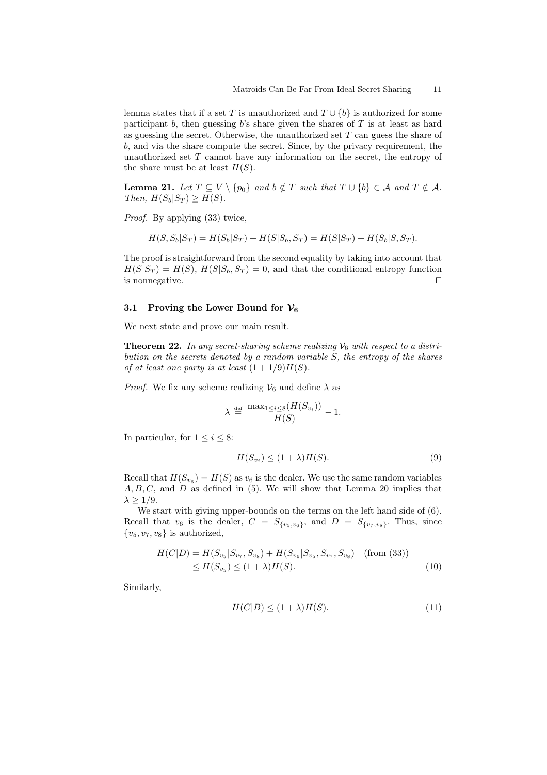lemma states that if a set T is unauthorized and  $T \cup \{b\}$  is authorized for some participant b, then guessing b's share given the shares of  $T$  is at least as hard as guessing the secret. Otherwise, the unauthorized set  $T$  can guess the share of b, and via the share compute the secret. Since, by the privacy requirement, the unauthorized set  $T$  cannot have any information on the secret, the entropy of the share must be at least  $H(S)$ .

**Lemma 21.** Let  $T \subseteq V \setminus \{p_0\}$  and  $b \notin T$  such that  $T \cup \{b\} \in A$  and  $T \notin A$ . Then,  $H(S_b|S_T) \geq H(S)$ .

Proof. By applying (33) twice,

$$
H(S, S_b|S_T) = H(S_b|S_T) + H(S|S_b, S_T) = H(S|S_T) + H(S_b|S, S_T).
$$

The proof is straightforward from the second equality by taking into account that  $H(S|S_T) = H(S), H(S|S_b, S_T) = 0$ , and that the conditional entropy function is nonnegative.  $\Box$ 

## 3.1 Proving the Lower Bound for  $\mathcal{V}_6$

We next state and prove our main result.

**Theorem 22.** In any secret-sharing scheme realizing  $V_6$  with respect to a distribution on the secrets denoted by a random variable S, the entropy of the shares of at least one party is at least  $(1+1/9)H(S)$ .

*Proof.* We fix any scheme realizing  $V_6$  and define  $\lambda$  as

$$
\lambda \stackrel{\text{def}}{=} \frac{\max_{1 \le i \le 8} (H(S_{v_i}))}{H(S)} - 1.
$$

In particular, for  $1 \leq i \leq 8$ :

$$
H(S_{v_i}) \le (1 + \lambda)H(S). \tag{9}
$$

Recall that  $H(S_{v_6}) = H(S)$  as  $v_6$  is the dealer. We use the same random variables  $A, B, C$ , and  $D$  as defined in (5). We will show that Lemma 20 implies that  $\lambda \geq 1/9$ .

We start with giving upper-bounds on the terms on the left hand side of (6). Recall that  $v_6$  is the dealer,  $C = S_{\{v_5, v_6\}}$ , and  $D = S_{\{v_7, v_8\}}$ . Thus, since  ${v_5, v_7, v_8}$  is authorized,

$$
H(C|D) = H(S_{v_5}|S_{v_7}, S_{v_8}) + H(S_{v_6}|S_{v_5}, S_{v_7}, S_{v_8}) \quad \text{(from (33))}
$$
  

$$
\leq H(S_{v_5}) \leq (1+\lambda)H(S).
$$
 (10)

Similarly,

$$
H(C|B) \le (1+\lambda)H(S). \tag{11}
$$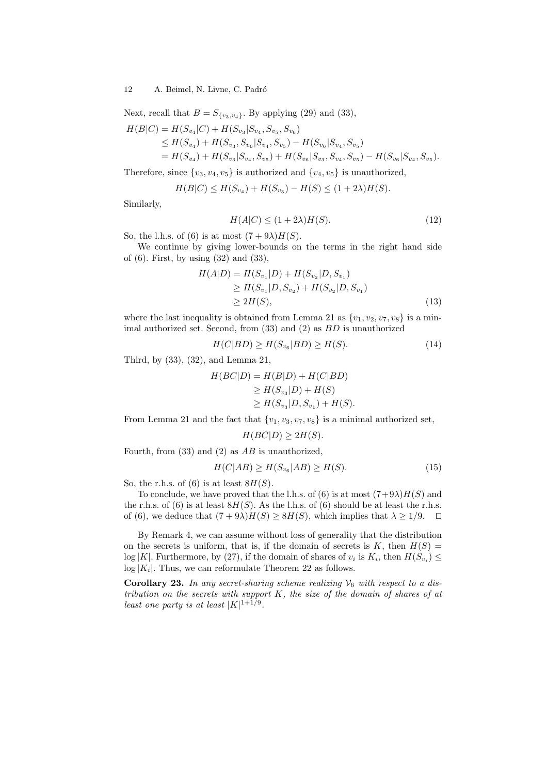## 12 A. Beimel, N. Livne, C. Padró

Next, recall that  $B = S_{\{v_3, v_4\}}$ . By applying (29) and (33),

$$
H(B|C) = H(S_{v_4}|C) + H(S_{v_3}|S_{v_4}, S_{v_5}, S_{v_6})
$$
  
\n
$$
\leq H(S_{v_4}) + H(S_{v_3}, S_{v_6}|S_{v_4}, S_{v_5}) - H(S_{v_6}|S_{v_4}, S_{v_5})
$$
  
\n
$$
= H(S_{v_4}) + H(S_{v_3}|S_{v_4}, S_{v_5}) + H(S_{v_6}|S_{v_3}, S_{v_4}, S_{v_5}) - H(S_{v_6}|S_{v_4}, S_{v_5}).
$$

Therefore, since  $\{v_3, v_4, v_5\}$  is authorized and  $\{v_4, v_5\}$  is unauthorized,

$$
H(B|C) \le H(S_{v_4}) + H(S_{v_3}) - H(S) \le (1 + 2\lambda)H(S).
$$

Similarly,

$$
H(A|C) \le (1+2\lambda)H(S). \tag{12}
$$

So, the l.h.s. of (6) is at most  $(7+9\lambda)H(S)$ .

We continue by giving lower-bounds on the terms in the right hand side of (6). First, by using (32) and (33),

$$
H(A|D) = H(S_{v_1}|D) + H(S_{v_2}|D, S_{v_1})
$$
  
\n
$$
\geq H(S_{v_1}|D, S_{v_2}) + H(S_{v_2}|D, S_{v_1})
$$
  
\n
$$
\geq 2H(S),
$$
\n(13)

where the last inequality is obtained from Lemma 21 as  $\{v_1, v_2, v_7, v_8\}$  is a minimal authorized set. Second, from (33) and (2) as BD is unauthorized

$$
H(C|BD) \ge H(S_{v_6}|BD) \ge H(S). \tag{14}
$$

Third, by (33), (32), and Lemma 21,

$$
H(BC|D) = H(B|D) + H(C|BD)
$$
  
\n
$$
\geq H(S_{v_3}|D) + H(S)
$$
  
\n
$$
\geq H(S_{v_3}|D, S_{v_1}) + H(S).
$$

From Lemma 21 and the fact that  $\{v_1, v_3, v_7, v_8\}$  is a minimal authorized set,

$$
H(BC|D) \ge 2H(S).
$$

Fourth, from  $(33)$  and  $(2)$  as  $AB$  is unauthorized,

$$
H(C|AB) \ge H(S_{v_6}|AB) \ge H(S). \tag{15}
$$

So, the r.h.s. of (6) is at least  $8H(S)$ .

To conclude, we have proved that the l.h.s. of (6) is at most  $(7+9\lambda)H(S)$  and the r.h.s. of  $(6)$  is at least  $8H(S)$ . As the l.h.s. of  $(6)$  should be at least the r.h.s. of (6), we deduce that  $(7+9\lambda)H(S) \geq 8H(S)$ , which implies that  $\lambda \geq 1/9$ .  $\Box$ 

By Remark 4, we can assume without loss of generality that the distribution on the secrets is uniform, that is, if the domain of secrets is  $K$ , then  $H(S)$  =  $\log |K|$ . Furthermore, by (27), if the domain of shares of  $v_i$  is  $K_i$ , then  $H(S_{v_i}) \leq$  $\log |K_i|$ . Thus, we can reformulate Theorem 22 as follows.

**Corollary 23.** In any secret-sharing scheme realizing  $V_6$  with respect to a distribution on the secrets with support  $K$ , the size of the domain of shares of at least one party is at least  $|K|^{1+1/9}$ .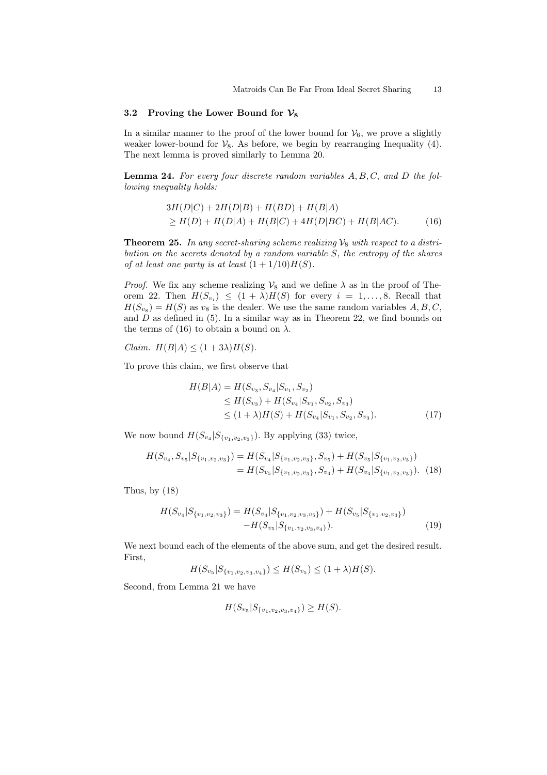#### 3.2 Proving the Lower Bound for  $\mathcal{V}_8$

In a similar manner to the proof of the lower bound for  $V_6$ , we prove a slightly weaker lower-bound for  $\mathcal{V}_8$ . As before, we begin by rearranging Inequality (4). The next lemma is proved similarly to Lemma 20.

**Lemma 24.** For every four discrete random variables  $A, B, C$ , and  $D$  the following inequality holds:

$$
3H(D|C) + 2H(D|B) + H(BD) + H(B|A)
$$
  
\n
$$
\geq H(D) + H(D|A) + H(B|C) + 4H(D|BC) + H(B|AC).
$$
 (16)

**Theorem 25.** In any secret-sharing scheme realizing  $V_8$  with respect to a distribution on the secrets denoted by a random variable S, the entropy of the shares of at least one party is at least  $(1 + 1/10)H(S)$ .

*Proof.* We fix any scheme realizing  $\mathcal{V}_8$  and we define  $\lambda$  as in the proof of Theorem 22. Then  $H(S_{v_i}) \leq (1 + \lambda)H(S)$  for every  $i = 1, \ldots, 8$ . Recall that  $H(S_{v_8}) = H(S)$  as  $v_8$  is the dealer. We use the same random variables  $A, B, C$ , and  $D$  as defined in (5). In a similar way as in Theorem 22, we find bounds on the terms of (16) to obtain a bound on  $\lambda$ .

Claim.  $H(B|A) \leq (1+3\lambda)H(S)$ .

To prove this claim, we first observe that

$$
H(B|A) = H(S_{v_3}, S_{v_4}|S_{v_1}, S_{v_2})
$$
  
\n
$$
\leq H(S_{v_3}) + H(S_{v_4}|S_{v_1}, S_{v_2}, S_{v_3})
$$
  
\n
$$
\leq (1 + \lambda)H(S) + H(S_{v_4}|S_{v_1}, S_{v_2}, S_{v_3}).
$$
\n(17)

We now bound  $H(S_{v_4}|S_{\{v_1,v_2,v_3\}})$ . By applying (33) twice,

$$
H(S_{v_4}, S_{v_5}|S_{\{v_1, v_2, v_3\}}) = H(S_{v_4}|S_{\{v_1, v_2, v_3\}}, S_{v_5}) + H(S_{v_5}|S_{\{v_1, v_2, v_3\}})
$$
  
=  $H(S_{v_5}|S_{\{v_1, v_2, v_3\}}, S_{v_4}) + H(S_{v_4}|S_{\{v_1, v_2, v_3\}}).$  (18)

Thus, by (18)

$$
H(S_{v_4}|S_{\{v_1,v_2,v_3\}}) = H(S_{v_4}|S_{\{v_1,v_2,v_3,v_5\}}) + H(S_{v_5}|S_{\{v_1,v_2,v_3\}}) -H(S_{v_5}|S_{\{v_1,v_2,v_3,v_4\}}).
$$
\n(19)

We next bound each of the elements of the above sum, and get the desired result. First,

$$
H(S_{v_5}|S_{\{v_1,v_2,v_3,v_4\}}) \leq H(S_{v_5}) \leq (1+\lambda)H(S).
$$

Second, from Lemma 21 we have

$$
H(S_{v_5}|S_{\{v_1,v_2,v_3,v_4\}}) \geq H(S).
$$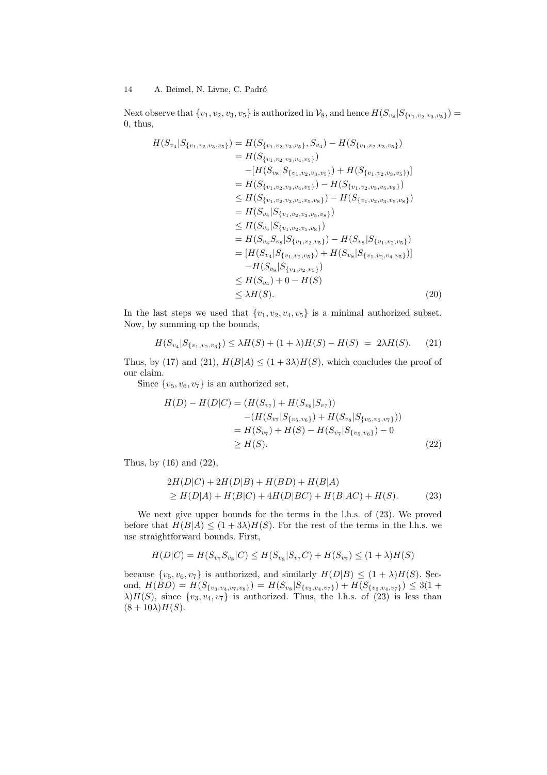Next observe that  $\{v_1, v_2, v_3, v_5\}$  is authorized in  $\mathcal{V}_8$ , and hence  $H(S_{v_8}|S_{\{v_1, v_2, v_3, v_5\}})$ 0, thus,

$$
H(S_{v_4}|S_{\{v_1,v_2,v_3,v_5\}}) = H(S_{\{v_1,v_2,v_3,v_5\}}, S_{v_4}) - H(S_{\{v_1,v_2,v_3,v_5\}})
$$
  
\n
$$
= H(S_{\{v_1,v_2,v_3,v_4,v_5\}}) - [H(S_{v_8}|S_{\{v_1,v_2,v_3,v_5\}}) + H(S_{\{v_1,v_2,v_3,v_5\}})]
$$
  
\n
$$
= H(S_{\{v_1,v_2,v_3,v_4,v_5\}}) - H(S_{\{v_1,v_2,v_3,v_5,v_8\}})
$$
  
\n
$$
\leq H(S_{\{v_1,v_2,v_3,v_4,v_5,v_8\}}) - H(S_{\{v_1,v_2,v_3,v_5,v_8\}})
$$
  
\n
$$
= H(S_{v_4}|S_{\{v_1,v_2,v_3,v_5,v_8\}})
$$
  
\n
$$
\leq H(S_{v_4}|S_{\{v_1,v_2,v_5,v_8\}})
$$
  
\n
$$
= H(S_{v_4}|S_{\{v_1,v_2,v_5\}}) - H(S_{v_8}|S_{\{v_1,v_2,v_5\}})
$$
  
\n
$$
= [H(S_{v_4}|S_{\{v_1,v_2,v_5\}}) + H(S_{v_8}|S_{\{v_1,v_2,v_4,v_5\}})]
$$
  
\n
$$
- H(S_{v_8}|S_{\{v_1,v_2,v_5\}})
$$
  
\n
$$
\leq H(S_{v_4}) + 0 - H(S)
$$
  
\n
$$
\leq \lambda H(S).
$$
\n(20)

In the last steps we used that  $\{v_1, v_2, v_4, v_5\}$  is a minimal authorized subset. Now, by summing up the bounds,

$$
H(S_{v_4}|S_{\{v_1,v_2,v_3\}}) \le \lambda H(S) + (1+\lambda)H(S) - H(S) = 2\lambda H(S). \tag{21}
$$

Thus, by (17) and (21),  $H(B|A) \leq (1+3\lambda)H(S)$ , which concludes the proof of our claim.

Since  $\{v_5, v_6, v_7\}$  is an authorized set,

$$
H(D) - H(D|C) = (H(S_{v_7}) + H(S_{v_8}|S_{v_7}))
$$
  
\n
$$
- (H(S_{v_7}|S_{\{v_5,v_6\}}) + H(S_{v_8}|S_{\{v_5,v_6,v_7\}}))
$$
  
\n
$$
= H(S_{v_7}) + H(S) - H(S_{v_7}|S_{\{v_5,v_6\}}) - 0
$$
  
\n
$$
\geq H(S).
$$
\n(22)

Thus, by (16) and (22),

$$
2H(D|C) + 2H(D|B) + H(BD) + H(B|A)
$$
  
\n
$$
\geq H(D|A) + H(B|C) + 4H(D|BC) + H(B|AC) + H(S).
$$
 (23)

We next give upper bounds for the terms in the l.h.s. of (23). We proved before that  $H(B|A) \leq (1+3\lambda)H(S)$ . For the rest of the terms in the l.h.s. we use straightforward bounds. First,

$$
H(D|C) = H(S_{v_7}S_{v_8}|C) \leq H(S_{v_8}|S_{v_7}C) + H(S_{v_7}) \leq (1 + \lambda)H(S)
$$

because  $\{v_5, v_6, v_7\}$  is authorized, and similarly  $H(D|B) \leq (1 + \lambda)H(S)$ . Second,  $H(BD) = H(S_{\{v_3, v_4, v_7, v_8\}}) = H(S_{v_8}|S_{\{v_3, v_4, v_7\}}) + H(S_{\{v_3, v_4, v_7\}}) \leq 3(1 +$  $\lambda$ ) $H(S)$ , since  $\{v_3, v_4, v_7\}$  is authorized. Thus, the l.h.s. of (23) is less than  $(8+10\lambda)H(S)$ .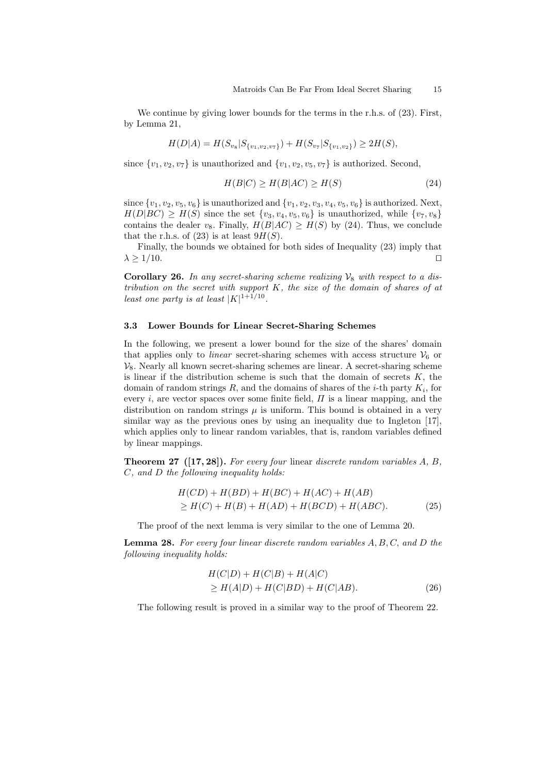We continue by giving lower bounds for the terms in the r.h.s. of (23). First, by Lemma 21,

$$
H(D|A) = H(S_{v_8}|S_{\{v_1, v_2, v_7\}}) + H(S_{v_7}|S_{\{v_1, v_2\}}) \ge 2H(S),
$$

since  $\{v_1, v_2, v_7\}$  is unauthorized and  $\{v_1, v_2, v_5, v_7\}$  is authorized. Second,

$$
H(B|C) \ge H(B|AC) \ge H(S) \tag{24}
$$

since  $\{v_1, v_2, v_5, v_6\}$  is unauthorized and  $\{v_1, v_2, v_3, v_4, v_5, v_6\}$  is authorized. Next,  $H(D|BC) \geq H(S)$  since the set  $\{v_3, v_4, v_5, v_6\}$  is unauthorized, while  $\{v_7, v_8\}$ contains the dealer v<sub>8</sub>. Finally,  $H(B|AC) \geq H(S)$  by (24). Thus, we conclude that the r.h.s. of  $(23)$  is at least  $9H(S)$ .

Finally, the bounds we obtained for both sides of Inequality (23) imply that  $\lambda \geq 1/10.$ 

**Corollary 26.** In any secret-sharing scheme realizing  $V_8$  with respect to a distribution on the secret with support K, the size of the domain of shares of at least one party is at least  $|K|^{1+1/10}$ .

## 3.3 Lower Bounds for Linear Secret-Sharing Schemes

In the following, we present a lower bound for the size of the shares' domain that applies only to *linear* secret-sharing schemes with access structure  $V_6$  or  $\mathcal{V}_8$ . Nearly all known secret-sharing schemes are linear. A secret-sharing scheme is linear if the distribution scheme is such that the domain of secrets  $K$ , the domain of random strings  $R$ , and the domains of shares of the *i*-th party  $K_i$ , for every i, are vector spaces over some finite field,  $\Pi$  is a linear mapping, and the distribution on random strings  $\mu$  is uniform. This bound is obtained in a very similar way as the previous ones by using an inequality due to Ingleton [17], which applies only to linear random variables, that is, random variables defined by linear mappings.

**Theorem 27** ( $[17, 28]$ ). For every four linear discrete random variables  $A, B$ , C, and D the following inequality holds:

$$
H(CD) + H(BD) + H(BC) + H(AC) + H(AB)
$$
  
\n
$$
\geq H(C) + H(B) + H(AD) + H(BCD) + H(ABC).
$$
 (25)

The proof of the next lemma is very similar to the one of Lemma 20.

**Lemma 28.** For every four linear discrete random variables  $A, B, C, and D$  the following inequality holds:

$$
H(C|D) + H(C|B) + H(A|C)
$$
  
\n
$$
\geq H(A|D) + H(C|BD) + H(C|AB).
$$
 (26)

The following result is proved in a similar way to the proof of Theorem 22.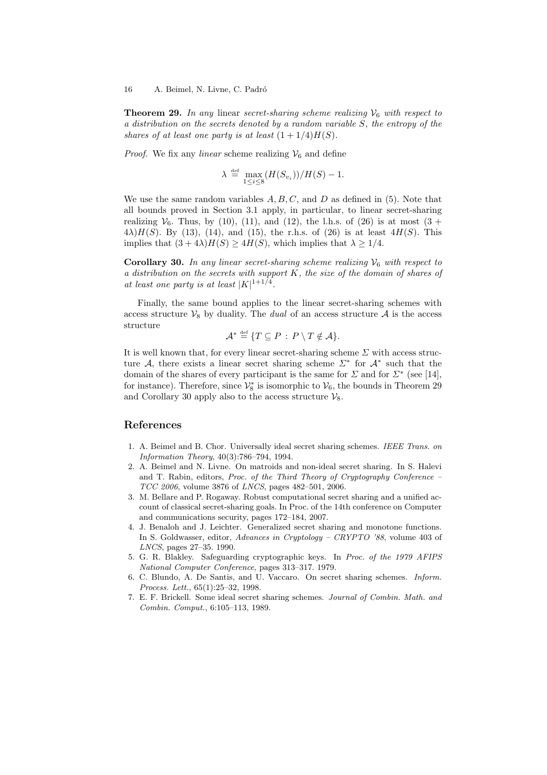**Theorem 29.** In any linear secret-sharing scheme realizing  $V_6$  with respect to a distribution on the secrets denoted by a random variable S, the entropy of the shares of at least one party is at least  $(1 + 1/4)H(S)$ .

*Proof.* We fix any *linear* scheme realizing  $V_6$  and define

$$
\lambda \stackrel{\text{def}}{=} \max_{1 \leq i \leq 8} (H(S_{v_i})) / H(S) - 1.
$$

We use the same random variables  $A, B, C$ , and  $D$  as defined in (5). Note that all bounds proved in Section 3.1 apply, in particular, to linear secret-sharing realizing  $V_6$ . Thus, by (10), (11), and (12), the l.h.s. of (26) is at most (3 +  $4\lambda$ ) $H(S)$ . By (13), (14), and (15), the r.h.s. of (26) is at least  $4H(S)$ . This implies that  $(3+4\lambda)H(S) \ge 4H(S)$ , which implies that  $\lambda \ge 1/4$ .

**Corollary 30.** In any linear secret-sharing scheme realizing  $V_6$  with respect to a distribution on the secrets with support  $K$ , the size of the domain of shares of at least one party is at least  $|K|^{1+1/4}$ .

Finally, the same bound applies to the linear secret-sharing schemes with access structure  $V_8$  by duality. The *dual* of an access structure A is the access structure

$$
\mathcal{A}^* \stackrel{\text{\tiny def}}{=} \{T \subseteq P \,:\, P \setminus T \notin \mathcal{A}\}.
$$

It is well known that, for every linear secret-sharing scheme  $\Sigma$  with access structure A, there exists a linear secret sharing scheme  $\Sigma^*$  for  $\mathcal{A}^*$  such that the domain of the shares of every participant is the same for  $\Sigma$  and for  $\Sigma^*$  (see [14], for instance). Therefore, since  $\mathcal{V}_8^*$  is isomorphic to  $\mathcal{V}_6$ , the bounds in Theorem 29 and Corollary 30 apply also to the access structure  $\mathcal{V}_8$ .

## References

- 1. A. Beimel and B. Chor. Universally ideal secret sharing schemes. IEEE Trans. on Information Theory, 40(3):786–794, 1994.
- 2. A. Beimel and N. Livne. On matroids and non-ideal secret sharing. In S. Halevi and T. Rabin, editors, Proc. of the Third Theory of Cryptography Conference – TCC 2006, volume 3876 of LNCS, pages 482–501, 2006.
- 3. M. Bellare and P. Rogaway. Robust computational secret sharing and a unified account of classical secret-sharing goals. In Proc. of the 14th conference on Computer and communications security, pages 172–184, 2007.
- 4. J. Benaloh and J. Leichter. Generalized secret sharing and monotone functions. In S. Goldwasser, editor, Advances in Cryptology – CRYPTO '88, volume 403 of LNCS, pages 27–35. 1990.
- 5. G. R. Blakley. Safeguarding cryptographic keys. In Proc. of the 1979 AFIPS National Computer Conference, pages 313–317. 1979.
- 6. C. Blundo, A. De Santis, and U. Vaccaro. On secret sharing schemes. Inform. Process. Lett., 65(1):25–32, 1998.
- 7. E. F. Brickell. Some ideal secret sharing schemes. Journal of Combin. Math. and Combin. Comput., 6:105–113, 1989.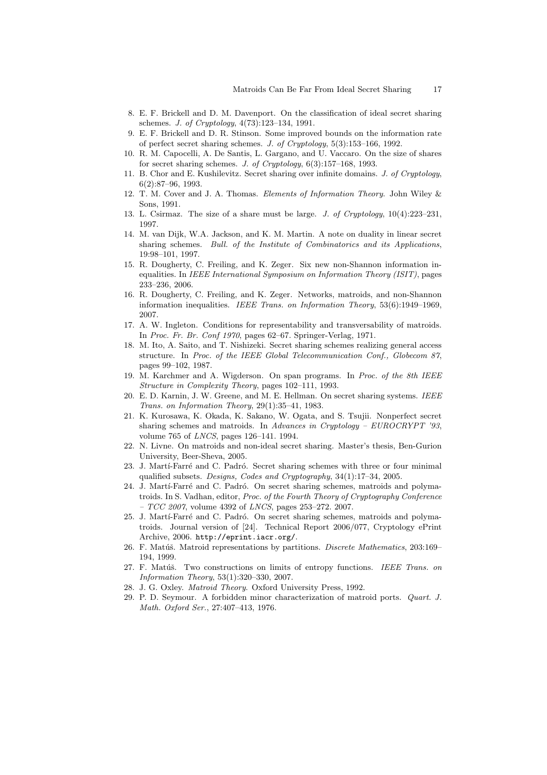- 8. E. F. Brickell and D. M. Davenport. On the classification of ideal secret sharing schemes. J. of Cryptology, 4(73):123–134, 1991.
- 9. E. F. Brickell and D. R. Stinson. Some improved bounds on the information rate of perfect secret sharing schemes. J. of Cryptology, 5(3):153–166, 1992.
- 10. R. M. Capocelli, A. De Santis, L. Gargano, and U. Vaccaro. On the size of shares for secret sharing schemes. J. of Cryptology, 6(3):157–168, 1993.
- 11. B. Chor and E. Kushilevitz. Secret sharing over infinite domains. J. of Cryptology,  $6(2):87-96, 1993.$
- 12. T. M. Cover and J. A. Thomas. Elements of Information Theory. John Wiley & Sons, 1991.
- 13. L. Csirmaz. The size of a share must be large. J. of Cryptology, 10(4):223–231, 1997.
- 14. M. van Dijk, W.A. Jackson, and K. M. Martin. A note on duality in linear secret sharing schemes. Bull. of the Institute of Combinatorics and its Applications, 19:98–101, 1997.
- 15. R. Dougherty, C. Freiling, and K. Zeger. Six new non-Shannon information inequalities. In IEEE International Symposium on Information Theory (ISIT), pages 233–236, 2006.
- 16. R. Dougherty, C. Freiling, and K. Zeger. Networks, matroids, and non-Shannon information inequalities. IEEE Trans. on Information Theory, 53(6):1949–1969, 2007.
- 17. A. W. Ingleton. Conditions for representability and transversability of matroids. In Proc. Fr. Br. Conf 1970, pages 62–67. Springer-Verlag, 1971.
- 18. M. Ito, A. Saito, and T. Nishizeki. Secret sharing schemes realizing general access structure. In Proc. of the IEEE Global Telecommunication Conf., Globecom 87, pages 99–102, 1987.
- 19. M. Karchmer and A. Wigderson. On span programs. In Proc. of the 8th IEEE Structure in Complexity Theory, pages 102–111, 1993.
- 20. E. D. Karnin, J. W. Greene, and M. E. Hellman. On secret sharing systems. IEEE Trans. on Information Theory, 29(1):35–41, 1983.
- 21. K. Kurosawa, K. Okada, K. Sakano, W. Ogata, and S. Tsujii. Nonperfect secret sharing schemes and matroids. In Advances in Cryptology – EUROCRYPT '93, volume 765 of LNCS, pages 126–141. 1994.
- 22. N. Livne. On matroids and non-ideal secret sharing. Master's thesis, Ben-Gurion University, Beer-Sheva, 2005.
- 23. J. Martí-Farré and C. Padró. Secret sharing schemes with three or four minimal qualified subsets. Designs, Codes and Cryptography, 34(1):17–34, 2005.
- 24. J. Martí-Farré and C. Padró. On secret sharing schemes, matroids and polymatroids. In S. Vadhan, editor, Proc. of the Fourth Theory of Cryptography Conference  $- TCC 2007$ , volume 4392 of *LNCS*, pages 253-272. 2007.
- 25. J. Martí-Farré and C. Padró. On secret sharing schemes, matroids and polymatroids. Journal version of [24]. Technical Report 2006/077, Cryptology ePrint Archive, 2006. http://eprint.iacr.org/.
- 26. F. Matúš. Matroid representations by partitions. Discrete Mathematics, 203:169-194, 1999.
- 27. F. Matúš. Two constructions on limits of entropy functions. IEEE Trans. on Information Theory, 53(1):320–330, 2007.
- 28. J. G. Oxley. Matroid Theory. Oxford University Press, 1992.
- 29. P. D. Seymour. A forbidden minor characterization of matroid ports. Quart. J. Math. Oxford Ser., 27:407–413, 1976.